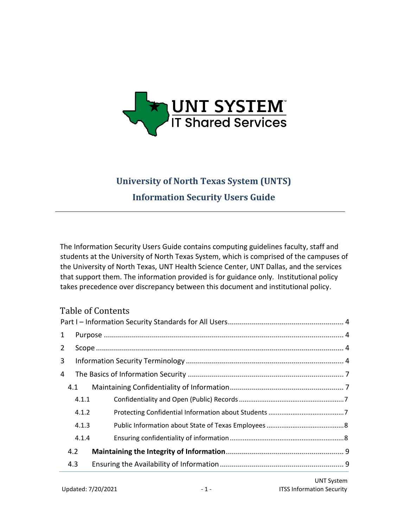

# **University of North Texas System (UNTS) Information Security Users Guide**

The Information Security Users Guide contains computing guidelines faculty, staff and students at the University of North Texas System, which is comprised of the campuses of the University of North Texas, UNT Health Science Center, UNT Dallas, and the services that support them. The information provided is for guidance only. Institutional policy takes precedence over discrepancy between this document and institutional policy.

# Table of Contents

| 4.1<br>4.2<br>4.3 | 4.1.1<br>4.1.2<br>4.1.3<br>4.1.4 |
|-------------------|----------------------------------|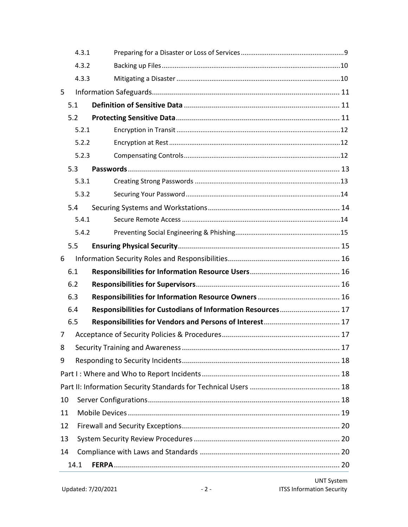|    | 4.3.1 |                                                             |  |  |  |
|----|-------|-------------------------------------------------------------|--|--|--|
|    | 4.3.2 |                                                             |  |  |  |
|    | 4.3.3 |                                                             |  |  |  |
| 5  |       |                                                             |  |  |  |
|    | 5.1   |                                                             |  |  |  |
|    | 5.2   |                                                             |  |  |  |
|    | 5.2.1 |                                                             |  |  |  |
|    | 5.2.2 |                                                             |  |  |  |
|    | 5.2.3 |                                                             |  |  |  |
|    | 5.3   |                                                             |  |  |  |
|    | 5.3.1 |                                                             |  |  |  |
|    | 5.3.2 |                                                             |  |  |  |
|    | 5.4   |                                                             |  |  |  |
|    | 5.4.1 |                                                             |  |  |  |
|    | 5.4.2 |                                                             |  |  |  |
|    | 5.5   |                                                             |  |  |  |
| 6  |       |                                                             |  |  |  |
|    | 6.1   |                                                             |  |  |  |
|    | 6.2   |                                                             |  |  |  |
|    | 6.3   |                                                             |  |  |  |
|    | 6.4   | Responsibilities for Custodians of Information Resources 17 |  |  |  |
|    | 6.5   |                                                             |  |  |  |
| 7  |       |                                                             |  |  |  |
| 8  |       |                                                             |  |  |  |
| 9  |       |                                                             |  |  |  |
|    |       |                                                             |  |  |  |
|    |       |                                                             |  |  |  |
|    | 10    |                                                             |  |  |  |
| 11 |       |                                                             |  |  |  |
|    | 12    |                                                             |  |  |  |
|    | 13    |                                                             |  |  |  |
| 14 |       |                                                             |  |  |  |
|    | 14.1  |                                                             |  |  |  |
|    |       |                                                             |  |  |  |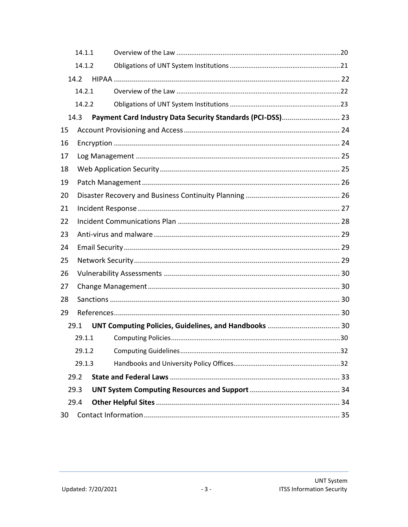|    | 14.1.1                                                             |  |  |  |  |  |  |
|----|--------------------------------------------------------------------|--|--|--|--|--|--|
|    | 14.1.2                                                             |  |  |  |  |  |  |
|    | 14.2                                                               |  |  |  |  |  |  |
|    | 14.2.1                                                             |  |  |  |  |  |  |
|    | 14.2.2                                                             |  |  |  |  |  |  |
|    | Payment Card Industry Data Security Standards (PCI-DSS) 23<br>14.3 |  |  |  |  |  |  |
| 15 |                                                                    |  |  |  |  |  |  |
| 16 |                                                                    |  |  |  |  |  |  |
| 17 |                                                                    |  |  |  |  |  |  |
| 18 |                                                                    |  |  |  |  |  |  |
| 19 |                                                                    |  |  |  |  |  |  |
| 20 |                                                                    |  |  |  |  |  |  |
| 21 |                                                                    |  |  |  |  |  |  |
| 22 |                                                                    |  |  |  |  |  |  |
| 23 |                                                                    |  |  |  |  |  |  |
| 24 |                                                                    |  |  |  |  |  |  |
| 25 |                                                                    |  |  |  |  |  |  |
| 26 |                                                                    |  |  |  |  |  |  |
| 27 |                                                                    |  |  |  |  |  |  |
| 28 |                                                                    |  |  |  |  |  |  |
| 29 |                                                                    |  |  |  |  |  |  |
|    | 29.1                                                               |  |  |  |  |  |  |
|    | 29.1.1                                                             |  |  |  |  |  |  |
|    | 29.1.2                                                             |  |  |  |  |  |  |
|    | 29.1.3                                                             |  |  |  |  |  |  |
|    | 29.2                                                               |  |  |  |  |  |  |
|    | 29.3                                                               |  |  |  |  |  |  |
|    | 29.4                                                               |  |  |  |  |  |  |
| 30 |                                                                    |  |  |  |  |  |  |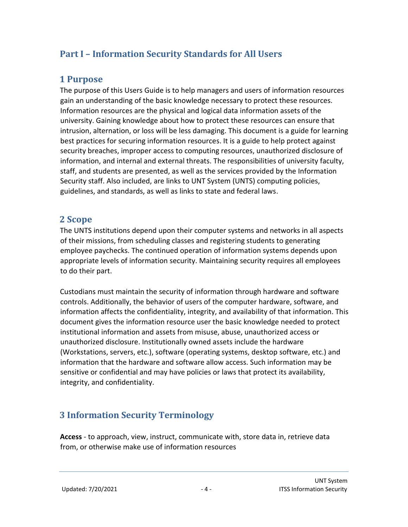# <span id="page-3-0"></span>**Part I – Information Security Standards for All Users**

# <span id="page-3-1"></span>**1 Purpose**

The purpose of this Users Guide is to help managers and users of information resources gain an understanding of the basic knowledge necessary to protect these resources. Information resources are the physical and logical data information assets of the university. Gaining knowledge about how to protect these resources can ensure that intrusion, alternation, or loss will be less damaging. This document is a guide for learning best practices for securing information resources. It is a guide to help protect against security breaches, improper access to computing resources, unauthorized disclosure of information, and internal and external threats. The responsibilities of university faculty, staff, and students are presented, as well as the services provided by the Information Security staff. Also included, are links to UNT System (UNTS) computing policies, guidelines, and standards, as well as links to state and federal laws.

# <span id="page-3-2"></span>**2 Scope**

The UNTS institutions depend upon their computer systems and networks in all aspects of their missions, from scheduling classes and registering students to generating employee paychecks. The continued operation of information systems depends upon appropriate levels of information security. Maintaining security requires all employees to do their part.

Custodians must maintain the security of information through hardware and software controls. Additionally, the behavior of users of the computer hardware, software, and information affects the confidentiality, integrity, and availability of that information. This document gives the information resource user the basic knowledge needed to protect institutional information and assets from misuse, abuse, unauthorized access or unauthorized disclosure. Institutionally owned assets include the hardware (Workstations, servers, etc.), software (operating systems, desktop software, etc.) and information that the hardware and software allow access. Such information may be sensitive or confidential and may have policies or laws that protect its availability, integrity, and confidentiality.

# <span id="page-3-3"></span>**3 Information Security Terminology**

**Access** - to approach, view, instruct, communicate with, store data in, retrieve data from, or otherwise make use of information resources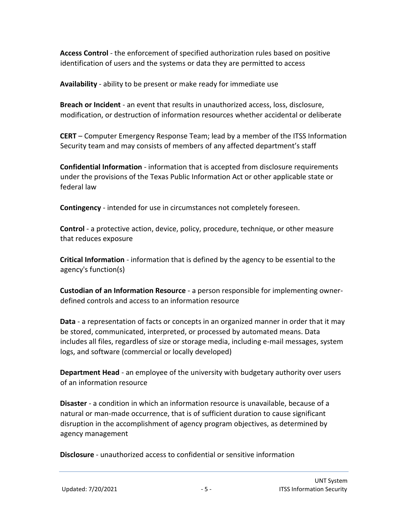**Access Control** - the enforcement of specified authorization rules based on positive identification of users and the systems or data they are permitted to access

**Availability** - ability to be present or make ready for immediate use

**Breach or Incident** - an event that results in unauthorized access, loss, disclosure, modification, or destruction of information resources whether accidental or deliberate

**CERT** – Computer Emergency Response Team; lead by a member of the ITSS Information Security team and may consists of members of any affected department's staff

**Confidential Information** - information that is accepted from disclosure requirements under the provisions of the Texas Public Information Act or other applicable state or federal law

**Contingency** - intended for use in circumstances not completely foreseen.

**Control** - a protective action, device, policy, procedure, technique, or other measure that reduces exposure

**Critical Information** - information that is defined by the agency to be essential to the agency's function(s)

**Custodian of an Information Resource** - a person responsible for implementing ownerdefined controls and access to an information resource

**Data** - a representation of facts or concepts in an organized manner in order that it may be stored, communicated, interpreted, or processed by automated means. Data includes all files, regardless of size or storage media, including e-mail messages, system logs, and software (commercial or locally developed)

**Department Head** - an employee of the university with budgetary authority over users of an information resource

**Disaster** - a condition in which an information resource is unavailable, because of a natural or man-made occurrence, that is of sufficient duration to cause significant disruption in the accomplishment of agency program objectives, as determined by agency management

**Disclosure** - unauthorized access to confidential or sensitive information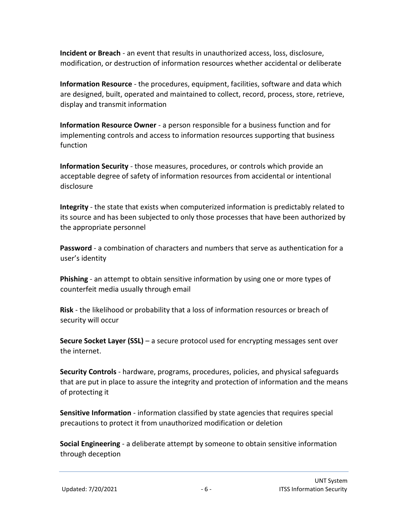**Incident or Breach** - an event that results in unauthorized access, loss, disclosure, modification, or destruction of information resources whether accidental or deliberate

**Information Resource** - the procedures, equipment, facilities, software and data which are designed, built, operated and maintained to collect, record, process, store, retrieve, display and transmit information

**Information Resource Owner** - a person responsible for a business function and for implementing controls and access to information resources supporting that business function

**Information Security** - those measures, procedures, or controls which provide an acceptable degree of safety of information resources from accidental or intentional disclosure

**Integrity** - the state that exists when computerized information is predictably related to its source and has been subjected to only those processes that have been authorized by the appropriate personnel

**Password** - a combination of characters and numbers that serve as authentication for a user's identity

**Phishing** - an attempt to obtain sensitive information by using one or more types of counterfeit media usually through email

**Risk** - the likelihood or probability that a loss of information resources or breach of security will occur

**Secure Socket Layer (SSL)** – a secure protocol used for encrypting messages sent over the internet.

**Security Controls** - hardware, programs, procedures, policies, and physical safeguards that are put in place to assure the integrity and protection of information and the means of protecting it

**Sensitive Information** - information classified by state agencies that requires special precautions to protect it from unauthorized modification or deletion

**Social Engineering** - a deliberate attempt by someone to obtain sensitive information through deception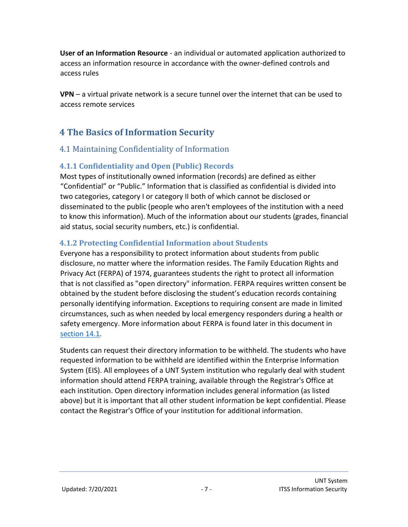**User of an Information Resource** - an individual or automated application authorized to access an information resource in accordance with the owner-defined controls and access rules

**VPN** – a virtual private network is a secure tunnel over the internet that can be used to access remote services

# <span id="page-6-0"></span>**4 The Basics of Information Security**

#### <span id="page-6-1"></span>4.1 Maintaining Confidentiality of Information

#### <span id="page-6-2"></span>**4.1.1 Confidentiality and Open (Public) Records**

Most types of institutionally owned information (records) are defined as either "Confidential" or "Public." Information that is classified as confidential is divided into two categories, category I or category II both of which cannot be disclosed or disseminated to the public (people who aren't employees of the institution with a need to know this information). Much of the information about our students (grades, financial aid status, social security numbers, etc.) is confidential.

#### <span id="page-6-3"></span>**4.1.2 Protecting Confidential Information about Students**

Everyone has a responsibility to protect information about students from public disclosure, no matter where the information resides. The Family Education Rights and Privacy Act (FERPA) of 1974, guarantees students the right to protect all information that is not classified as "open directory" information. FERPA requires written consent be obtained by the student before disclosing the student's education records containing personally identifying information. Exceptions to requiring consent are made in limited circumstances, such as when needed by local emergency responders during a health or safety emergency. More information about FERPA is found later in this document in [section 14.1.](#page-19-3)

Students can request their directory information to be withheld. The students who have requested information to be withheld are identified within the Enterprise Information System (EIS). All employees of a UNT System institution who regularly deal with student information should attend FERPA training, available through the Registrar's Office at each institution. Open directory information includes general information (as listed above) but it is important that all other student information be kept confidential. Please contact the Registrar's Office of your institution for additional information.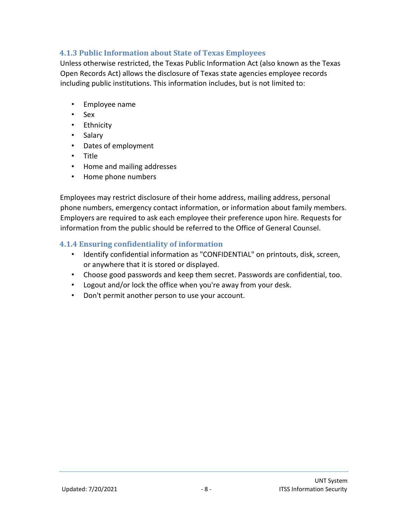#### <span id="page-7-0"></span>**4.1.3 Public Information about State of Texas Employees**

Unless otherwise restricted, the Texas Public Information Act (also known as the Texas Open Records Act) allows the disclosure of Texas state agencies employee records including public institutions. This information includes, but is not limited to:

- Employee name
- Sex
- Ethnicity
- Salary
- Dates of employment
- Title
- Home and mailing addresses
- Home phone numbers

Employees may restrict disclosure of their home address, mailing address, personal phone numbers, emergency contact information, or information about family members. Employers are required to ask each employee their preference upon hire. Requests for information from the public should be referred to the Office of General Counsel.

#### <span id="page-7-1"></span>**4.1.4 Ensuring confidentiality of information**

- Identify confidential information as "CONFIDENTIAL" on printouts, disk, screen, or anywhere that it is stored or displayed.
- Choose good passwords and keep them secret. Passwords are confidential, too.
- Logout and/or lock the office when you're away from your desk.
- Don't permit another person to use your account.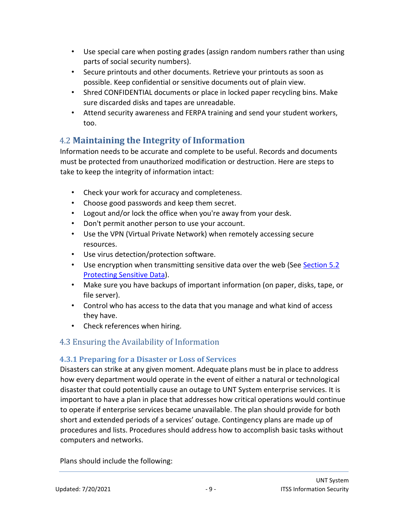- Use special care when posting grades (assign random numbers rather than using parts of social security numbers).
- Secure printouts and other documents. Retrieve your printouts as soon as possible. Keep confidential or sensitive documents out of plain view.
- Shred CONFIDENTIAL documents or place in locked paper recycling bins. Make sure discarded disks and tapes are unreadable.
- Attend security awareness and FERPA training and send your student workers, too.

# <span id="page-8-0"></span>4.2 **Maintaining the Integrity of Information**

Information needs to be accurate and complete to be useful. Records and documents must be protected from unauthorized modification or destruction. Here are steps to take to keep the integrity of information intact:

- Check your work for accuracy and completeness.
- Choose good passwords and keep them secret.
- Logout and/or lock the office when you're away from your desk.
- Don't permit another person to use your account.
- Use the VPN (Virtual Private Network) when remotely accessing secure resources.
- Use virus detection/protection software.
- Use encryption when transmitting sensitive data over the web (See Section 5.2) Protecting Sensitive Data).
- Make sure you have backups of important information (on paper, disks, tape, or file server).
- Control who has access to the data that you manage and what kind of access they have.
- Check references when hiring.

# <span id="page-8-1"></span>4.3 Ensuring the Availability of Information

#### <span id="page-8-2"></span>**4.3.1 Preparing for a Disaster or Loss of Services**

Disasters can strike at any given moment. Adequate plans must be in place to address how every department would operate in the event of either a natural or technological disaster that could potentially cause an outage to UNT System enterprise services. It is important to have a plan in place that addresses how critical operations would continue to operate if enterprise services became unavailable. The plan should provide for both short and extended periods of a services' outage. Contingency plans are made up of procedures and lists. Procedures should address how to accomplish basic tasks without computers and networks.

Plans should include the following: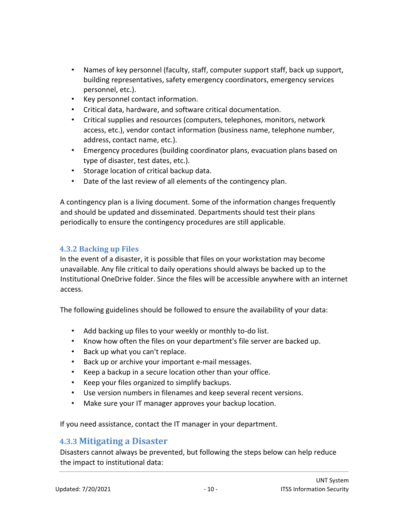- Names of key personnel (faculty, staff, computer support staff, back up support, building representatives, safety emergency coordinators, emergency services personnel, etc.).
- Key personnel contact information.
- Critical data, hardware, and software critical documentation.
- Critical supplies and resources (computers, telephones, monitors, network access, etc.), vendor contact information (business name, telephone number, address, contact name, etc.).
- Emergency procedures (building coordinator plans, evacuation plans based on type of disaster, test dates, etc.).
- Storage location of critical backup data.
- Date of the last review of all elements of the contingency plan.

A contingency plan is a living document. Some of the information changes frequently and should be updated and disseminated. Departments should test their plans periodically to ensure the contingency procedures are still applicable.

#### <span id="page-9-0"></span>**4.3.2 Backing up Files**

In the event of a disaster, it is possible that files on your workstation may become unavailable. Any file critical to daily operations should always be backed up to the Institutional OneDrive folder. Since the files will be accessible anywhere with an internet access.

The following guidelines should be followed to ensure the availability of your data:

- Add backing up files to your weekly or monthly to-do list.
- Know how often the files on your department's file server are backed up.
- Back up what you can't replace.
- Back up or archive your important e-mail messages.
- Keep a backup in a secure location other than your office.
- Keep your files organized to simplify backups.
- Use version numbers in filenames and keep several recent versions.
- Make sure your IT manager approves your backup location.

If you need assistance, contact the IT manager in your department.

#### <span id="page-9-1"></span>**4.3.3 Mitigating a Disaster**

Disasters cannot always be prevented, but following the steps below can help reduce the impact to institutional data: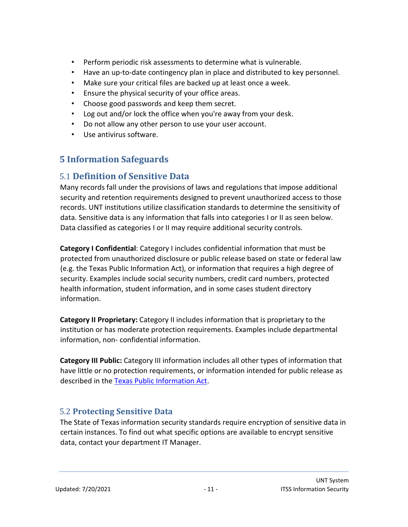- Perform periodic risk assessments to determine what is vulnerable.
- Have an up-to-date contingency plan in place and distributed to key personnel.
- Make sure your critical files are backed up at least once a week.
- Ensure the physical security of your office areas.
- Choose good passwords and keep them secret.
- Log out and/or lock the office when you're away from your desk.
- Do not allow any other person to use your user account.
- Use antivirus software.

# <span id="page-10-0"></span>**5 Information Safeguards**

# <span id="page-10-1"></span>5.1 **Definition of Sensitive Data**

Many records fall under the provisions of laws and regulations that impose additional security and retention requirements designed to prevent unauthorized access to those records. UNT institutions utilize classification standards to determine the sensitivity of data. Sensitive data is any information that falls into categories I or II as seen below. Data classified as categories I or II may require additional security controls.

**Category I Confidential**: Category I includes confidential information that must be protected from unauthorized disclosure or public release based on state or federal law (e.g. the Texas Public Information Act), or information that requires a high degree of security. Examples include social security numbers, credit card numbers, protected health information, student information, and in some cases student directory information.

**Category II Proprietary:** Category II includes information that is proprietary to the institution or has moderate protection requirements. Examples include departmental information, non- confidential information.

**Category III Public:** Category III information includes all other types of information that have little or no protection requirements, or information intended for public release as described in the [Texas Public Information Act.](https://www.tsl.state.tx.us/agency/customer/pia.html)

#### <span id="page-10-2"></span>5.2 **Protecting Sensitive Data**

The State of Texas information security standards require encryption of sensitive data in certain instances. To find out what specific options are available to encrypt sensitive data, contact your department IT Manager.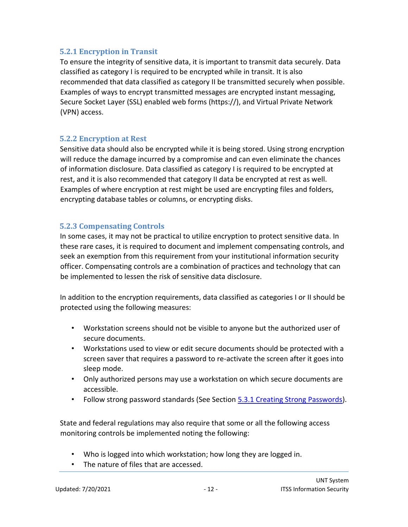#### <span id="page-11-0"></span>**5.2.1 Encryption in Transit**

To ensure the integrity of sensitive data, it is important to transmit data securely. Data classified as category I is required to be encrypted while in transit. It is also recommended that data classified as category II be transmitted securely when possible. Examples of ways to encrypt transmitted messages are encrypted instant messaging, Secure Socket Layer (SSL) enabled web forms (https://), and Virtual Private Network (VPN) access.

#### <span id="page-11-1"></span>**5.2.2 Encryption at Rest**

Sensitive data should also be encrypted while it is being stored. Using strong encryption will reduce the damage incurred by a compromise and can even eliminate the chances of information disclosure. Data classified as category I is required to be encrypted at rest, and it is also recommended that category II data be encrypted at rest as well. Examples of where encryption at rest might be used are encrypting files and folders, encrypting database tables or columns, or encrypting disks.

#### <span id="page-11-2"></span>**5.2.3 Compensating Controls**

In some cases, it may not be practical to utilize encryption to protect sensitive data. In these rare cases, it is required to document and implement compensating controls, and seek an exemption from this requirement from your institutional information security officer. Compensating controls are a combination of practices and technology that can be implemented to lessen the risk of sensitive data disclosure.

In addition to the encryption requirements, data classified as categories I or II should be protected using the following measures:

- Workstation screens should not be visible to anyone but the authorized user of secure documents.
- Workstations used to view or edit secure documents should be protected with a screen saver that requires a password to re-activate the screen after it goes into sleep mode.
- Only authorized persons may use a workstation on which secure documents are accessible.
- Follow strong password standards (See Section 5.3.1 Creating Strong Passwords).

State and federal regulations may also require that some or all the following access monitoring controls be implemented noting the following:

- Who is logged into which workstation; how long they are logged in.
- The nature of files that are accessed.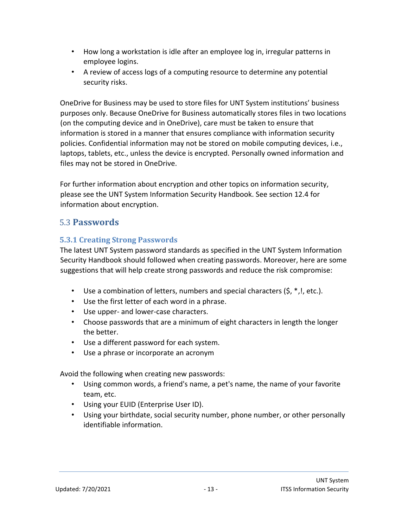- How long a workstation is idle after an employee log in, irregular patterns in employee logins.
- A review of access logs of a computing resource to determine any potential security risks.

OneDrive for Business may be used to store files for UNT System institutions' business purposes only. Because OneDrive for Business automatically stores files in two locations (on the computing device and in OneDrive), care must be taken to ensure that information is stored in a manner that ensures compliance with information security policies. Confidential information may not be stored on mobile computing devices, i.e., laptops, tablets, etc., unless the device is encrypted. Personally owned information and files may not be stored in OneDrive.

For further information about encryption and other topics on information security, please see the UNT System Information Security Handbook. See section 12.4 for information about encryption.

# <span id="page-12-0"></span>5.3 **Passwords**

#### <span id="page-12-1"></span>**5.3.1 Creating Strong Passwords**

The latest UNT System password standards as specified in the UNT System Information Security Handbook should followed when creating passwords. Moreover, here are some suggestions that will help create strong passwords and reduce the risk compromise:

- Use a combination of letters, numbers and special characters  $(5, *, !, etc.).$
- Use the first letter of each word in a phrase.
- Use upper- and lower-case characters.
- Choose passwords that are a minimum of eight characters in length the longer the better.
- Use a different password for each system.
- Use a phrase or incorporate an acronym

Avoid the following when creating new passwords:

- Using common words, a friend's name, a pet's name, the name of your favorite team, etc.
- Using your EUID (Enterprise User ID).
- Using your birthdate, social security number, phone number, or other personally identifiable information.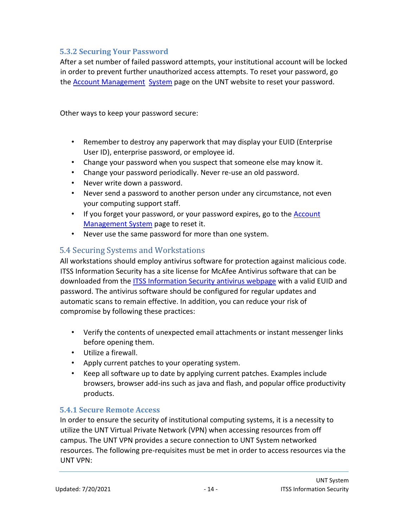#### <span id="page-13-0"></span>**5.3.2 Securing Your Password**

After a set number of failed password attempts, your institutional account will be locked in order to prevent further unauthorized access attempts. To reset your password, go the [Account Management System](https://ams.unt.edu/) [page on the UNT website to reset your password.](https://ams.unt.edu/)

Other ways to keep your password secure:

- Remember to destroy any paperwork that may display your EUID (Enterprise User ID), enterprise password, or employee id.
- Change your password when you suspect that someone else may know it.
- Change your password periodically. Never re-use an old password.
- Never write down a password.
- Never send a password to another person under any circumstance, not even your computing support staff.
- If you forget your password, or your password expires, go to th[e](http://ams.unt.edu/) [Account](http://ams.unt.edu/) [Management System](https://ams.unt.edu/) [page to reset it.](https://ams.unt.edu/)
- [Never use the same password for more than one system.](https://ams.unt.edu/)

#### <span id="page-13-1"></span>5.4 Securing Systems and Workstations

All workstations should employ antivirus software for protection against malicious code. ITSS Information Security has a site license for McAfee Antivirus software that can be downloaded from the **ITSS Information Security antivirus webpage** [wi](http://itss.untsystem.edu/antivirus-download)th a valid EUID and password. The antivirus software should be configured for regular updates and automatic scans to remain effective. In addition, you can reduce your risk of compromise by following these practices:

- Verify the contents of unexpected email attachments or instant messenger links before opening them.
- Utilize a firewall.
- Apply current patches to your operating system.
- Keep all software up to date by applying current patches. Examples include browsers, browser add-ins such as java and flash, and popular office productivity products.

#### <span id="page-13-2"></span>**5.4.1 Secure Remote Access**

In order to ensure the security of institutional computing systems, it is a necessity to utilize the UNT Virtual Private Network (VPN) when accessing resources from off campus. The UNT VPN provides a secure connection to UNT System networked resources. The following pre-requisites must be met in order to access resources via the UNT VPN: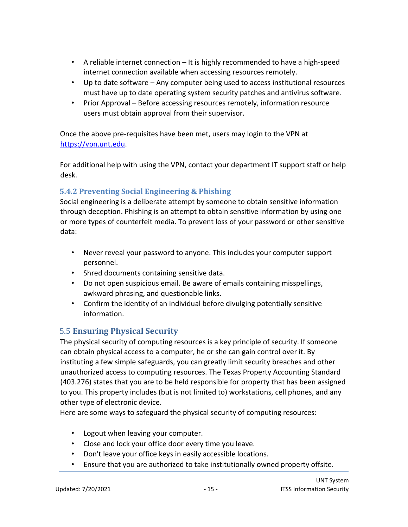- A reliable internet connection It is highly recommended to have a high-speed internet connection available when accessing resources remotely.
- Up to date software Any computer being used to access institutional resources must have up to date operating system security patches and antivirus software.
- Prior Approval Before accessing resources remotely, information resource users must obtain approval from their supervisor.

Once the above pre-requisites have been met, users may login to the VPN at [https://vpn.unt.edu.](https://vpn.unt.edu/)

For additional help with using the VPN, contact your department IT support staff or help desk.

#### <span id="page-14-0"></span>**5.4.2 Preventing Social Engineering & Phishing**

Social engineering is a deliberate attempt by someone to obtain sensitive information through deception. Phishing is an attempt to obtain sensitive information by using one or more types of counterfeit media. To prevent loss of your password or other sensitive data:

- Never reveal your password to anyone. This includes your computer support personnel.
- Shred documents containing sensitive data.
- Do not open suspicious email. Be aware of emails containing misspellings, awkward phrasing, and questionable links.
- Confirm the identity of an individual before divulging potentially sensitive information.

# <span id="page-14-1"></span>5.5 **Ensuring Physical Security**

The physical security of computing resources is a key principle of security. If someone can obtain physical access to a computer, he or she can gain control over it. By instituting a few simple safeguards, you can greatly limit security breaches and other unauthorized access to computing resources. The Texas Property Accounting Standard (403.276) states that you are to be held responsible for property that has been assigned to you. This property includes (but is not limited to) workstations, cell phones, and any other type of electronic device.

Here are some ways to safeguard the physical security of computing resources:

- Logout when leaving your computer.
- Close and lock your office door every time you leave.
- Don't leave your office keys in easily accessible locations.
- Ensure that you are authorized to take institutionally owned property offsite.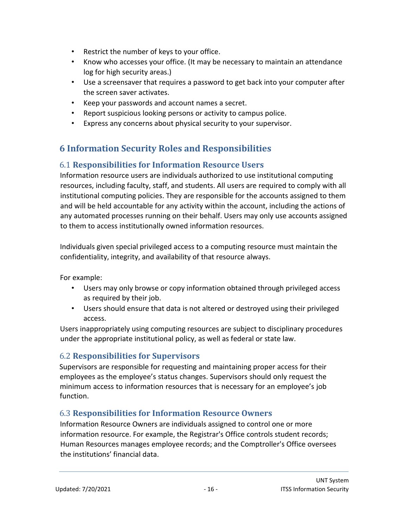- Restrict the number of keys to your office.
- Know who accesses your office. (It may be necessary to maintain an attendance log for high security areas.)
- Use a screensaver that requires a password to get back into your computer after the screen saver activates.
- Keep your passwords and account names a secret.
- Report suspicious looking persons or activity to campus police.
- Express any concerns about physical security to your supervisor.

# <span id="page-15-0"></span>**6 Information Security Roles and Responsibilities**

#### <span id="page-15-1"></span>6.1 **Responsibilities for Information Resource Users**

Information resource users are individuals authorized to use institutional computing resources, including faculty, staff, and students. All users are required to comply with all institutional computing policies. They are responsible for the accounts assigned to them and will be held accountable for any activity within the account, including the actions of any automated processes running on their behalf. Users may only use accounts assigned to them to access institutionally owned information resources.

Individuals given special privileged access to a computing resource must maintain the confidentiality, integrity, and availability of that resource always.

For example:

- Users may only browse or copy information obtained through privileged access as required by their job.
- Users should ensure that data is not altered or destroyed using their privileged access.

Users inappropriately using computing resources are subject to disciplinary procedures under the appropriate institutional policy, as well as federal or state law.

#### <span id="page-15-2"></span>6.2 **Responsibilities for Supervisors**

Supervisors are responsible for requesting and maintaining proper access for their employees as the employee's status changes. Supervisors should only request the minimum access to information resources that is necessary for an employee's job function.

#### <span id="page-15-3"></span>6.3 **Responsibilities for Information Resource Owners**

Information Resource Owners are individuals assigned to control one or more information resource. For example, the Registrar's Office controls student records; Human Resources manages employee records; and the Comptroller's Office oversees the institutions' financial data.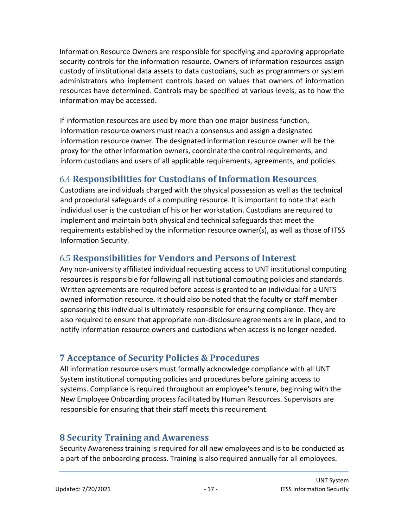Information Resource Owners are responsible for specifying and approving appropriate security controls for the information resource. Owners of information resources assign custody of institutional data assets to data custodians, such as programmers or system administrators who implement controls based on values that owners of information resources have determined. Controls may be specified at various levels, as to how the information may be accessed.

If information resources are used by more than one major business function, information resource owners must reach a consensus and assign a designated information resource owner. The designated information resource owner will be the proxy for the other information owners, coordinate the control requirements, and inform custodians and users of all applicable requirements, agreements, and policies.

# <span id="page-16-0"></span>6.4 **Responsibilities for Custodians of Information Resources**

Custodians are individuals charged with the physical possession as well as the technical and procedural safeguards of a computing resource. It is important to note that each individual user is the custodian of his or her workstation. Custodians are required to implement and maintain both physical and technical safeguards that meet the requirements established by the information resource owner(s), as well as those of ITSS Information Security.

# <span id="page-16-1"></span>6.5 **Responsibilities for Vendors and Persons of Interest**

Any non-university affiliated individual requesting access to UNT institutional computing resources is responsible for following all institutional computing policies and standards. Written agreements are required before access is granted to an individual for a UNTS owned information resource. It should also be noted that the faculty or staff member sponsoring this individual is ultimately responsible for ensuring compliance. They are also required to ensure that appropriate non-disclosure agreements are in place, and to notify information resource owners and custodians when access is no longer needed.

# <span id="page-16-2"></span>**7 Acceptance of Security Policies & Procedures**

All information resource users must formally acknowledge compliance with all UNT System institutional computing policies and procedures before gaining access to systems. Compliance is required throughout an employee's tenure, beginning with the New Employee Onboarding process facilitated by Human Resources. Supervisors are responsible for ensuring that their staff meets this requirement.

# <span id="page-16-3"></span>**8 Security Training and Awareness**

Security Awareness training is required for all new employees and is to be conducted as a part of the onboarding process. Training is also required annually for all employees.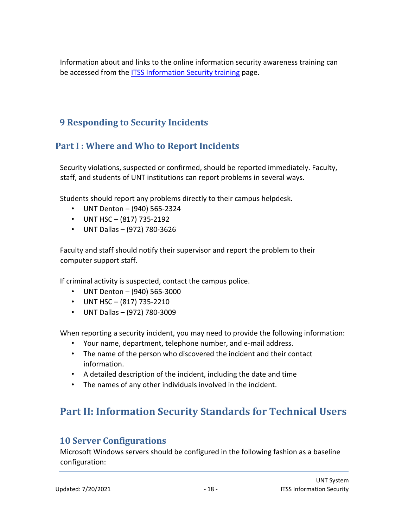Information about and links to the online information security awareness training can be accessed from th[e ITSS Information Security training](https://itss.untsystem.edu/divisions/mrs/is/training-and-awareness) [pa](https://itss.untsystem.edu/divisions/mrs/is/training-and-awareness)ge.

# <span id="page-17-0"></span>**9 Responding to Security Incidents**

# <span id="page-17-1"></span>**Part I : Where and Who to Report Incidents**

Security violations, suspected or confirmed, should be reported immediately. Faculty, staff, and students of UNT institutions can report problems in several ways.

Students should report any problems directly to their campus helpdesk.

- UNT Denton (940) 565-2324
- UNT HSC  $(817)$  735-2192
- UNT Dallas (972) 780-3626

Faculty and staff should notify their supervisor and report the problem to their computer support staff.

If criminal activity is suspected, contact the campus police.

- UNT Denton (940) 565-3000
- UNT HSC  $(817)$  735-2210
- UNT Dallas (972) 780-3009

When reporting a security incident, you may need to provide the following information:

- Your name, department, telephone number, and e-mail address.
- The name of the person who discovered the incident and their contact information.
- A detailed description of the incident, including the date and time
- The names of any other individuals involved in the incident.

# <span id="page-17-2"></span>**Part II: Information Security Standards for Technical Users**

# <span id="page-17-3"></span>**10 Server Configurations**

Microsoft Windows servers should be configured in the following fashion as a baseline configuration: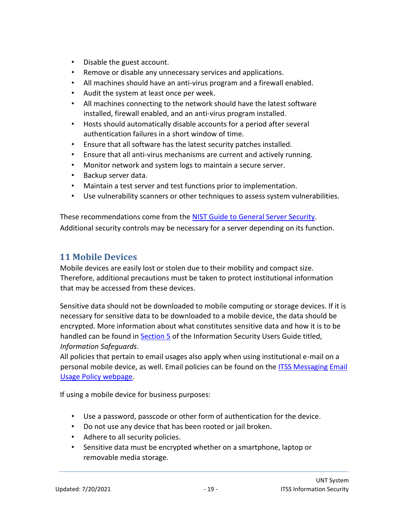- Disable the guest account.
- Remove or disable any unnecessary services and applications.
- All machines should have an anti-virus program and a firewall enabled.
- Audit the system at least once per week.
- All machines connecting to the network should have the latest software installed, firewall enabled, and an anti-virus program installed.
- Hosts should automatically disable accounts for a period after several authentication failures in a short window of time.
- Ensure that all software has the latest security patches installed.
- Ensure that all anti-virus mechanisms are current and actively running.
- Monitor network and system logs to maintain a secure server.
- Backup server data.
- Maintain a test server and test functions prior to implementation.
- Use vulnerability scanners or other techniques to assess system vulnerabilities.

These recommendations come from the [NIST Guide to General Server Security.](http://csrc.nist.gov/publications/nistpubs/800-123/SP800-123.pdf) Additional security controls may be necessary for a server depending on its function.

### <span id="page-18-0"></span>**11 Mobile Devices**

Mobile devices are easily lost or stolen due to their mobility and compact size. Therefore, additional precautions must be taken to protect institutional information that may be accessed from these devices.

Sensitive data should not be downloaded to mobile computing or storage devices. If it is necessary for sensitive data to be downloaded to a mobile device, the data should be encrypted. More information about what constitutes sensitive data and how it is to be handled can be found in **Section 5** of the Information Security Users Guide titled, *Information Safeguards*.

All policies that pertain to email usages also apply when using institutional e-mail on a [personal mobile device, as well. Email policies can be found on the ITSS Messaging](https://itss.untsystem.edu/divisions/ets/itsm/messaging/email-usage-policy) [Email](https://itss.untsystem.edu/divisions/ets/itsm/messaging/email-usage-policy)  [Usage Policy webpage.](https://itss.untsystem.edu/divisions/ets/itsm/messaging/email-usage-policy)

If using a mobile device for business purposes:

- Use a password, passcode or other form of authentication for the device.
- Do not use any device that has been rooted or jail broken.
- Adhere to all security policies.
- Sensitive data must be encrypted whether on a smartphone, laptop or removable media storage.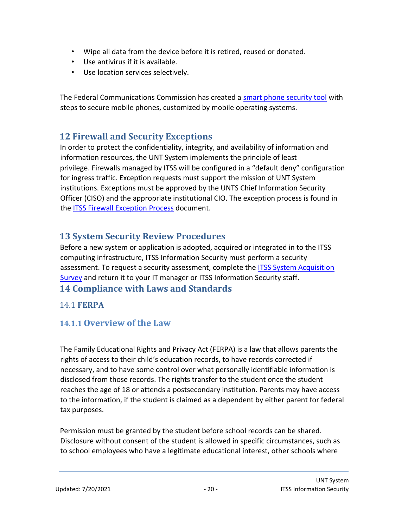- Wipe all data from the device before it is retired, reused or donated.
- Use antivirus if it is available.
- Use location services selectively.

The Federal Communications Commission has created a [smart phone security tool](http://www.fcc.gov/smartphone-security) [wi](http://www.fcc.gov/smartphone-security)th steps to secure mobile phones, customized by mobile operating systems.

# <span id="page-19-0"></span>**12 Firewall and Security Exceptions**

In order to protect the confidentiality, integrity, and availability of information and information resources, the UNT System implements the principle of least privilege. Firewalls managed by ITSS will be configured in a "default deny" configuration for ingress traffic. Exception requests must support the mission of UNT System institutions. Exceptions must be approved by the UNTS Chief Information Security Officer (CISO) and the appropriate institutional CIO. The exception process is found in the [ITSS Firewall Exception Process](https://itss.untsystem.edu/sites/default/files/Firewall%20Exception%20Process.pdf) [d](https://itss.untsystem.edu/sites/default/files/Firewall%20Exception%20Process.pdf)ocument.

# <span id="page-19-1"></span>**13 System Security Review Procedures**

Before a new system or application is adopted, acquired or integrated in to the ITSS computing infrastructure, ITSS Information Security must perform a securit[y](https://itss.untsystem.edu/divisions/mrs/policies/it-standards) [assessment. To request a security assessment, complete the ITSS System Acquisition](https://itss.untsystem.edu/divisions/mrs/policies/it-standards) [Survey](https://itss.untsystem.edu/divisions/mrs/policies/it-standards) [and return it to your IT manager or ITSS Information Security staff.](https://itss.untsystem.edu/divisions/mrs/policies/it-standards) **14 Compliance with Laws and Standards** 

#### <span id="page-19-3"></span><span id="page-19-2"></span>14.1 **FERPA**

# <span id="page-19-4"></span>**14.1.1 Overview of the Law**

The Family Educational Rights and Privacy Act (FERPA) is a law that allows parents the rights of access to their child's education records, to have records corrected if necessary, and to have some control over what personally identifiable information is disclosed from those records. The rights transfer to the student once the student reaches the age of 18 or attends a postsecondary institution. Parents may have access to the information, if the student is claimed as a dependent by either parent for federal tax purposes.

Permission must be granted by the student before school records can be shared. Disclosure without consent of the student is allowed in specific circumstances, such as to school employees who have a legitimate educational interest, other schools where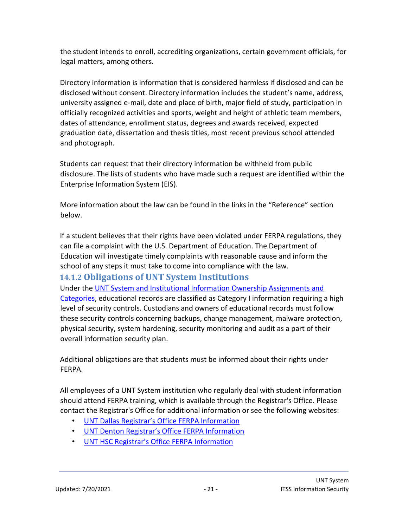the student intends to enroll, accrediting organizations, certain government officials, for legal matters, among others.

Directory information is information that is considered harmless if disclosed and can be disclosed without consent. Directory information includes the student's name, address, university assigned e-mail, date and place of birth, major field of study, participation in officially recognized activities and sports, weight and height of athletic team members, dates of attendance, enrollment status, degrees and awards received, expected graduation date, dissertation and thesis titles, most recent previous school attended and photograph.

Students can request that their directory information be withheld from public disclosure. The lists of students who have made such a request are identified within the Enterprise Information System (EIS).

More information about the law can be found in the links in the "Reference" section below.

If a student believes that their rights have been violated under FERPA regulations, they can file a complaint with the U.S. Department of Education. The Department of Education will investigate timely complaints with reasonable cause and inform the school of any steps it must take to come into compliance with the law.

# <span id="page-20-0"></span>**14.1.2 Obligations of UNT System Institutions**

Under the [UNT System and Institutional Information Ownership Assignments and](https://informationowners.untsystem.edu/sites/default/files/UNT%20System%20Administration%20and%20Campus%20Information%20Owners%202-25-2020.pdf)  [Categories](https://informationowners.untsystem.edu/sites/default/files/UNT%20System%20Administration%20and%20Campus%20Information%20Owners%202-25-2020.pdf)[, e](https://itss.untsystem.edu/sites/default/files/Information%20Security%20Standards%20and%20Practices.pdf)ducational records are classified as Category I information requiring a high level of security controls. Custodians and owners of educational records must follow these security controls concerning backups, change management, malware protection, physical security, system hardening, security monitoring and audit as a part of their overall information security plan.

Additional obligations are that students must be informed about their rights under FERPA.

All employees of a UNT System institution who regularly deal with student information should attend FERPA training, which is available through the Registrar's Office. Please contact the Registrar's Office for additional information or see the following websites:

- [UNT Dallas Registrar's Office FERPA Information](https://registrar.untdallas.edu/ferpa)
- [UNT Denton Registrar's Office FERPA Information](https://registrar.unt.edu/faculty/ferpa-and-student-records)
- [UNT HSC Registrar's Office FERPA Information](https://www.unthsc.edu/students/registrar/ferpa/)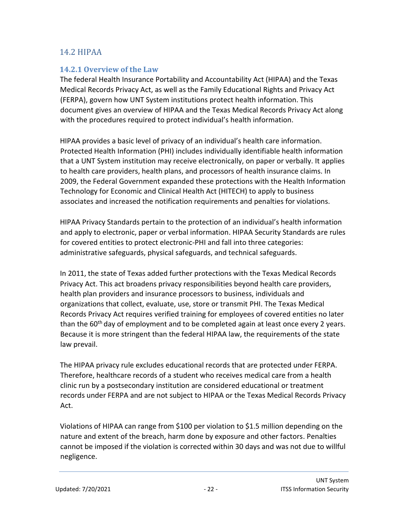#### <span id="page-21-0"></span>14.2 HIPAA

#### <span id="page-21-1"></span>**14.2.1 Overview of the Law**

The federal Health Insurance Portability and Accountability Act (HIPAA) and the Texas Medical Records Privacy Act, as well as the Family Educational Rights and Privacy Act (FERPA), govern how UNT System institutions protect health information. This document gives an overview of HIPAA and the Texas Medical Records Privacy Act along with the procedures required to protect individual's health information.

HIPAA provides a basic level of privacy of an individual's health care information. Protected Health Information (PHI) includes individually identifiable health information that a UNT System institution may receive electronically, on paper or verbally. It applies to health care providers, health plans, and processors of health insurance claims. In 2009, the Federal Government expanded these protections with the Health Information Technology for Economic and Clinical Health Act (HITECH) to apply to business associates and increased the notification requirements and penalties for violations.

HIPAA Privacy Standards pertain to the protection of an individual's health information and apply to electronic, paper or verbal information. HIPAA Security Standards are rules for covered entities to protect electronic-PHI and fall into three categories: administrative safeguards, physical safeguards, and technical safeguards.

In 2011, the state of Texas added further protections with the Texas Medical Records Privacy Act. This act broadens privacy responsibilities beyond health care providers, health plan providers and insurance processors to business, individuals and organizations that collect, evaluate, use, store or transmit PHI. The Texas Medical Records Privacy Act requires verified training for employees of covered entities no later than the  $60<sup>th</sup>$  day of employment and to be completed again at least once every 2 years. Because it is more stringent than the federal HIPAA law, the requirements of the state law prevail.

The HIPAA privacy rule excludes educational records that are protected under FERPA. Therefore, healthcare records of a student who receives medical care from a health clinic run by a postsecondary institution are considered educational or treatment records under FERPA and are not subject to HIPAA or the Texas Medical Records Privacy Act.

Violations of HIPAA can range from \$100 per violation to \$1.5 million depending on the nature and extent of the breach, harm done by exposure and other factors. Penalties cannot be imposed if the violation is corrected within 30 days and was not due to willful negligence.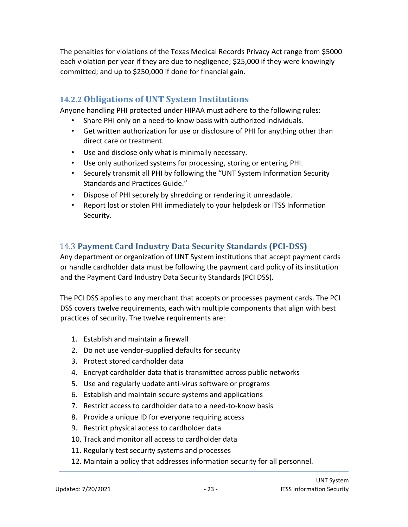The penalties for violations of the Texas Medical Records Privacy Act range from \$5000 each violation per year if they are due to negligence; \$25,000 if they were knowingly committed; and up to \$250,000 if done for financial gain.

### <span id="page-22-0"></span>**14.2.2 Obligations of UNT System Institutions**

Anyone handling PHI protected under HIPAA must adhere to the following rules:

- Share PHI only on a need-to-know basis with authorized individuals.
- Get written authorization for use or disclosure of PHI for anything other than direct care or treatment.
- Use and disclose only what is minimally necessary.
- Use only authorized systems for processing, storing or entering PHI.
- Securely transmit all PHI by following the "UNT System Information Security Standards and Practices Guide."
- Dispose of PHI securely by shredding or rendering it unreadable.
- Report lost or stolen PHI immediately to your helpdesk or ITSS Information Security.

# <span id="page-22-1"></span>14.3 **Payment Card Industry Data Security Standards (PCI-DSS)**

Any department or organization of UNT System institutions that accept payment cards or handle cardholder data must be following the payment card policy of its institution and the Payment Card Industry Data Security Standards (PCI DSS).

The PCI DSS applies to any merchant that accepts or processes payment cards. The PCI DSS covers twelve requirements, each with multiple components that align with best practices of security. The twelve requirements are:

- 1. Establish and maintain a firewall
- 2. Do not use vendor-supplied defaults for security
- 3. Protect stored cardholder data
- 4. Encrypt cardholder data that is transmitted across public networks
- 5. Use and regularly update anti-virus software or programs
- 6. Establish and maintain secure systems and applications
- 7. Restrict access to cardholder data to a need-to-know basis
- 8. Provide a unique ID for everyone requiring access
- 9. Restrict physical access to cardholder data
- 10. Track and monitor all access to cardholder data
- 11. Regularly test security systems and processes
- 12. Maintain a policy that addresses information security for all personnel.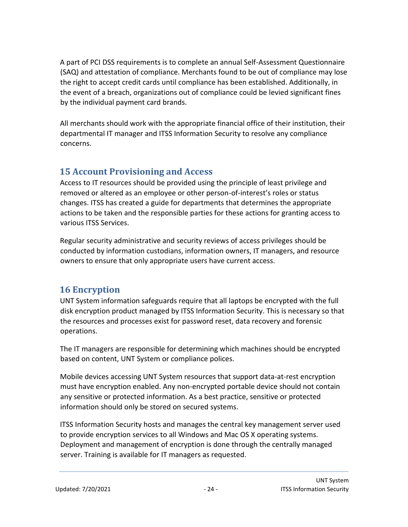A part of PCI DSS requirements is to complete an annual Self-Assessment Questionnaire (SAQ) and attestation of compliance. Merchants found to be out of compliance may lose the right to accept credit cards until compliance has been established. Additionally, in the event of a breach, organizations out of compliance could be levied significant fines by the individual payment card brands.

All merchants should work with the appropriate financial office of their institution, their departmental IT manager and ITSS Information Security to resolve any compliance concerns.

# <span id="page-23-0"></span>**15 Account Provisioning and Access**

Access to IT resources should be provided using the principle of least privilege and removed or altered as an employee or other person-of-interest's roles or status changes. ITSS has created a guide for departments that determines the appropriate actions to be taken and the responsible parties for these actions for granting access to various ITSS Services.

Regular security administrative and security reviews of access privileges should be conducted by information custodians, information owners, IT managers, and resource owners to ensure that only appropriate users have current access.

# <span id="page-23-1"></span>**16 Encryption**

UNT System information safeguards require that all laptops be encrypted with the full disk encryption product managed by ITSS Information Security. This is necessary so that the resources and processes exist for password reset, data recovery and forensic operations.

The IT managers are responsible for determining which machines should be encrypted based on content, UNT System or compliance polices.

Mobile devices accessing UNT System resources that support data-at-rest encryption must have encryption enabled. Any non-encrypted portable device should not contain any sensitive or protected information. As a best practice, sensitive or protected information should only be stored on secured systems.

ITSS Information Security hosts and manages the central key management server used to provide encryption services to all Windows and Mac OS X operating systems. Deployment and management of encryption is done through the centrally managed server. Training is available for IT managers as requested.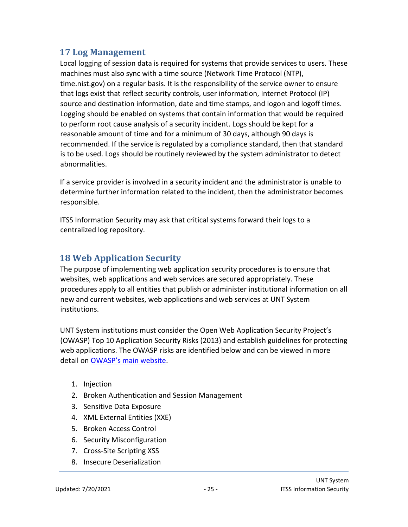# <span id="page-24-0"></span>**17 Log Management**

Local logging of session data is required for systems that provide services to users. These machines must also sync with a time source (Network Time Protocol (NTP), time.nist.gov) on a regular basis. It is the responsibility of the service owner to ensure that logs exist that reflect security controls, user information, Internet Protocol (IP) source and destination information, date and time stamps, and logon and logoff times. Logging should be enabled on systems that contain information that would be required to perform root cause analysis of a security incident. Logs should be kept for a reasonable amount of time and for a minimum of 30 days, although 90 days is recommended. If the service is regulated by a compliance standard, then that standard is to be used. Logs should be routinely reviewed by the system administrator to detect abnormalities.

If a service provider is involved in a security incident and the administrator is unable to determine further information related to the incident, then the administrator becomes responsible.

ITSS Information Security may ask that critical systems forward their logs to a centralized log repository.

# <span id="page-24-1"></span>**18 Web Application Security**

The purpose of implementing web application security procedures is to ensure that websites, web applications and web services are secured appropriately. These procedures apply to all entities that publish or administer institutional information on all new and current websites, web applications and web services at UNT System institutions.

UNT System institutions must consider the Open Web Application Security Project's (OWASP) Top 10 Application Security Risks (2013) and establish guidelines for protecting web applications. The OWASP risks are identified below and can be viewed in more detail on [OWASP's main website](https://www.owasp.org/index.php/Main_Page)[.](https://www.owasp.org/index.php/Main_Page)

- 1. Injection
- 2. Broken Authentication and Session Management
- 3. Sensitive Data Exposure
- 4. XML External Entities (XXE)
- 5. Broken Access Control
- 6. Security Misconfiguration
- 7. Cross-Site Scripting XSS
- 8. Insecure Deserialization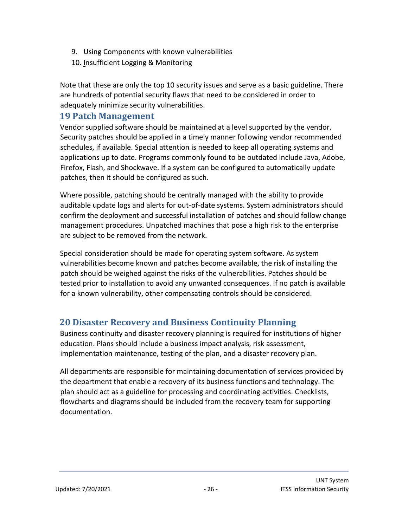- 9. Using Components with known vulnerabilities
- 10. Insufficient Logging & Monitoring

Note that these are only the top 10 security issues and serve as a basic guideline. There are hundreds of potential security flaws that need to be considered in order to adequately minimize security vulnerabilities.

### <span id="page-25-0"></span>**19 Patch Management**

Vendor supplied software should be maintained at a level supported by the vendor. Security patches should be applied in a timely manner following vendor recommended schedules, if available. Special attention is needed to keep all operating systems and applications up to date. Programs commonly found to be outdated include Java, Adobe, Firefox, Flash, and Shockwave. If a system can be configured to automatically update patches, then it should be configured as such.

Where possible, patching should be centrally managed with the ability to provide auditable update logs and alerts for out-of-date systems. System administrators should confirm the deployment and successful installation of patches and should follow change management procedures. Unpatched machines that pose a high risk to the enterprise are subject to be removed from the network.

Special consideration should be made for operating system software. As system vulnerabilities become known and patches become available, the risk of installing the patch should be weighed against the risks of the vulnerabilities. Patches should be tested prior to installation to avoid any unwanted consequences. If no patch is available for a known vulnerability, other compensating controls should be considered.

# <span id="page-25-1"></span>**20 Disaster Recovery and Business Continuity Planning**

Business continuity and disaster recovery planning is required for institutions of higher education. Plans should include a business impact analysis, risk assessment, implementation maintenance, testing of the plan, and a disaster recovery plan.

All departments are responsible for maintaining documentation of services provided by the department that enable a recovery of its business functions and technology. The plan should act as a guideline for processing and coordinating activities. Checklists, flowcharts and diagrams should be included from the recovery team for supporting documentation.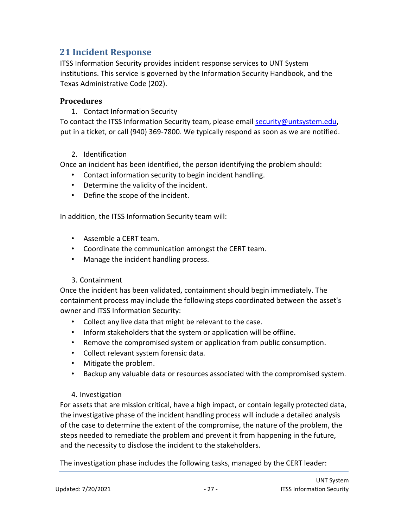# <span id="page-26-0"></span>**21 Incident Response**

ITSS Information Security provides incident response services to UNT System institutions. This service is governed by the Information Security Handbook, and the Texas Administrative Code (202).

#### **Procedures**

1. Contact Information Security

To contact the ITSS Information Security team, please email security@untsystem.edu, put in a ticket, or call (940) 369-7800. We typically respond as soon as we are notified.

#### 2. Identification

Once an incident has been identified, the person identifying the problem should:

- Contact information security to begin incident handling.
- Determine the validity of the incident.
- Define the scope of the incident.

In addition, the ITSS Information Security team will:

- Assemble a CERT team.
- Coordinate the communication amongst the CERT team.
- Manage the incident handling process.

#### 3. Containment

Once the incident has been validated, containment should begin immediately. The containment process may include the following steps coordinated between the asset's owner and ITSS Information Security:

- Collect any live data that might be relevant to the case.
- Inform stakeholders that the system or application will be offline.
- Remove the compromised system or application from public consumption.
- Collect relevant system forensic data.
- Mitigate the problem.
- Backup any valuable data or resources associated with the compromised system.

#### 4. Investigation

For assets that are mission critical, have a high impact, or contain legally protected data, the investigative phase of the incident handling process will include a detailed analysis of the case to determine the extent of the compromise, the nature of the problem, the steps needed to remediate the problem and prevent it from happening in the future, and the necessity to disclose the incident to the stakeholders.

The investigation phase includes the following tasks, managed by the CERT leader: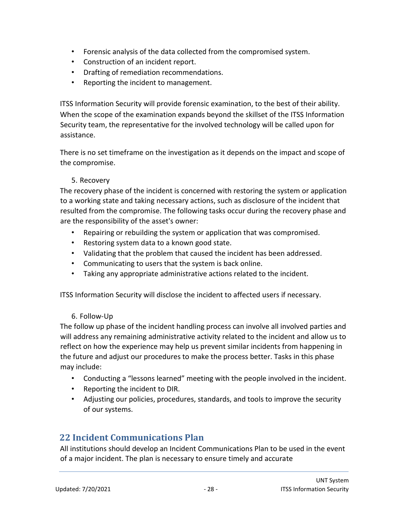- Forensic analysis of the data collected from the compromised system.
- Construction of an incident report.
- Drafting of remediation recommendations.
- Reporting the incident to management.

ITSS Information Security will provide forensic examination, to the best of their ability. When the scope of the examination expands beyond the skillset of the ITSS Information Security team, the representative for the involved technology will be called upon for assistance.

There is no set timeframe on the investigation as it depends on the impact and scope of the compromise.

#### 5. Recovery

The recovery phase of the incident is concerned with restoring the system or application to a working state and taking necessary actions, such as disclosure of the incident that resulted from the compromise. The following tasks occur during the recovery phase and are the responsibility of the asset's owner:

- Repairing or rebuilding the system or application that was compromised.
- Restoring system data to a known good state.
- Validating that the problem that caused the incident has been addressed.
- Communicating to users that the system is back online.
- Taking any appropriate administrative actions related to the incident.

ITSS Information Security will disclose the incident to affected users if necessary.

#### 6. Follow-Up

The follow up phase of the incident handling process can involve all involved parties and will address any remaining administrative activity related to the incident and allow us to reflect on how the experience may help us prevent similar incidents from happening in the future and adjust our procedures to make the process better. Tasks in this phase may include:

- Conducting a "lessons learned" meeting with the people involved in the incident.
- Reporting the incident to DIR.
- Adjusting our policies, procedures, standards, and tools to improve the security of our systems.

#### <span id="page-27-0"></span>**22 Incident Communications Plan**

All institutions should develop an Incident Communications Plan to be used in the event of a major incident. The plan is necessary to ensure timely and accurate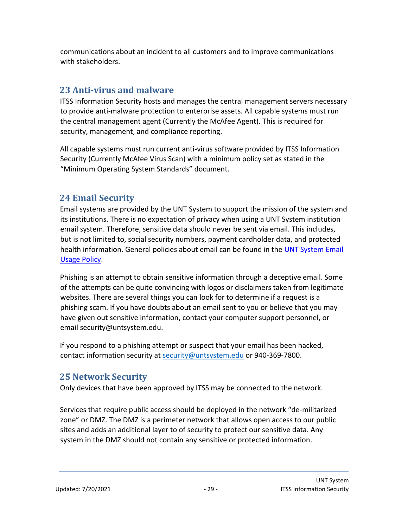communications about an incident to all customers and to improve communications with stakeholders.

# <span id="page-28-0"></span>**23 Anti-virus and malware**

ITSS Information Security hosts and manages the central management servers necessary to provide anti-malware protection to enterprise assets. All capable systems must run the central management agent (Currently the McAfee Agent). This is required for security, management, and compliance reporting.

All capable systems must run current anti-virus software provided by ITSS Information Security (Currently McAfee Virus Scan) with a minimum policy set as stated in the "Minimum Operating System Standards" document.

# <span id="page-28-1"></span>**24 Email Security**

Email systems are provided by the UNT System to support the mission of the system and its institutions. There is no expectation of privacy when using a UNT System institution email system. Therefore, sensitive data should never be sent via email. This includes, but is not limited to, social security numbers, payment cardholder data, and protected [health information. General policies about email can be found in the UNT System Email](https://itss.untsystem.edu/divisions/ets/itsm/messaging/email-usage-policy) [Usage Policy.](https://itss.untsystem.edu/divisions/ets/itsm/messaging/email-usage-policy)

Phishing is an attempt to obtain sensitive information through a deceptive email. Some of the attempts can be quite convincing with logos or disclaimers taken from legitimate websites. There are several things you can look for to determine if a request is a phishing scam. If you have doubts about an email sent to you or believe that you may have given out sensitive information, contact your computer support personnel, or email security@untsystem.edu.

If you respond to a phishing attempt or suspect that your email has been hacked, contact information security at [security@untsystem.edu](mailto:security@untsystem.edu) or 940-369-7800.

# <span id="page-28-2"></span>**25 Network Security**

Only devices that have been approved by ITSS may be connected to the network.

Services that require public access should be deployed in the network "de-militarized zone" or DMZ. The DMZ is a perimeter network that allows open access to our public sites and adds an additional layer to of security to protect our sensitive data. Any system in the DMZ should not contain any sensitive or protected information.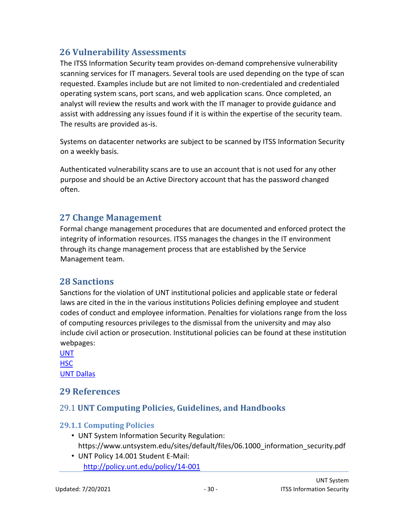# <span id="page-29-0"></span>**26 Vulnerability Assessments**

The ITSS Information Security team provides on-demand comprehensive vulnerability scanning services for IT managers. Several tools are used depending on the type of scan requested. Examples include but are not limited to non-credentialed and credentialed operating system scans, port scans, and web application scans. Once completed, an analyst will review the results and work with the IT manager to provide guidance and assist with addressing any issues found if it is within the expertise of the security team. The results are provided as-is.

Systems on datacenter networks are subject to be scanned by ITSS Information Security on a weekly basis.

Authenticated vulnerability scans are to use an account that is not used for any other purpose and should be an Active Directory account that has the password changed often.

### <span id="page-29-1"></span>**27 Change Management**

Formal change management procedures that are documented and enforced protect the integrity of information resources. ITSS manages the changes in the IT environment through its change management process that are established by the Service Management team.

# <span id="page-29-2"></span>**28 Sanctions**

Sanctions for the violation of UNT institutional policies and applicable state or federal laws are cited in the in the various institutions Policies defining employee and student codes of conduct and employee information. Penalties for violations range from the loss of computing resources privileges to the dismissal from the university and may also include civil action or prosecution. Institutional policies can be found at these institution webpages:

[UNT](http://policy.unt.edu/) **[HSC](https://www.unthsc.edu/administrative/institutional-compliance-office/unt-health-science-center-policies/)** [UNT Dallas](https://www.untdallas.edu/hr/upol)

#### <span id="page-29-3"></span>**29 References**

#### <span id="page-29-4"></span>29.1 **UNT Computing Policies, Guidelines, and Handbooks**

#### <span id="page-29-5"></span>**29.1.1 Computing Policies**

- UNT System Information Security Regulation: https://www.untsystem.edu/sites/default/files/06.1000\_information\_security.pdf
- UNT Policy 14.001 Student E-Mail: <http://policy.unt.edu/policy/14-001>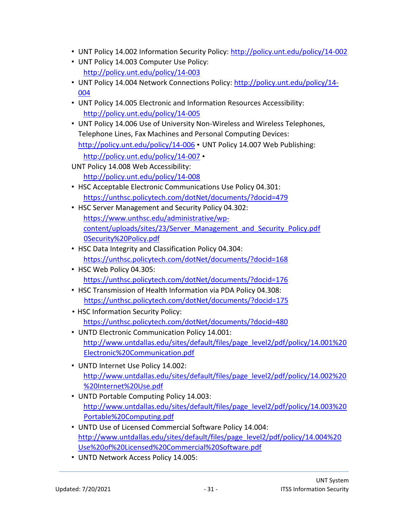- UNT Policy 14.002 Information Security Policy:<http://policy.unt.edu/policy/14-002>
- UNT Policy 14.003 Computer Use Policy: <http://policy.unt.edu/policy/14-003>
- UNT Policy 14.004 Network Connections Policy: [http://policy.unt.edu/policy/14-](http://policy.unt.edu/policy/14-004) [004](http://policy.unt.edu/policy/14-004)
- UNT Policy 14.005 Electronic and Information Resources Accessibility: <http://policy.unt.edu/policy/14-005>
- UNT Policy 14.006 Use of University Non-Wireless and Wireless Telephones, Telephone Lines, Fax Machines and Personal Computing Devices: <http://policy.unt.edu/policy/14-006> • UNT Policy 14.007 Web Publishing: <http://policy.unt.edu/policy/14-007> •
- UNT Policy 14.008 Web Accessibility: <http://policy.unt.edu/policy/14-008>
- HSC Acceptable Electronic Communications Use Policy 04.301: <https://unthsc.policytech.com/dotNet/documents/?docid=479>
- HSC Server Management and Security Policy 04.302: [https://www.unthsc.edu/administrative/wp](https://www.unthsc.edu/administrative/wp-content/uploads/sites/23/Server_Management_and_Security_Policy.pdf)[content/uploads/sites/23/Server\\_Management\\_and\\_Security\\_Policy.pd](https://www.unthsc.edu/administrative/wp-content/uploads/sites/23/Server_Management_and_Security_Policy.pdf)[f](https://app.unthsc.edu/policies/PoliciesPDF/Server%20Management%20and%20Security%20Policy.pdf) [0Security%20Policy.pdf](https://app.unthsc.edu/policies/PoliciesPDF/Server%20Management%20and%20Security%20Policy.pdf)
- HSC Data Integrity and Classification Policy 04.304: <https://unthsc.policytech.com/dotNet/documents/?docid=168>
- HSC Web Policy 04.305: <https://unthsc.policytech.com/dotNet/documents/?docid=176>
- HSC Transmission of Health Information via PDA Policy 04.308: <https://unthsc.policytech.com/dotNet/documents/?docid=175>
- HSC Information Security Policy: <https://unthsc.policytech.com/dotNet/documents/?docid=480>
- UNTD Electronic Communication Policy 14.001: [http://www.untdallas.edu/sites/default/files/page\\_level2/pdf/policy/14.001%20](http://www.untdallas.edu/sites/default/files/page_level2/pdf/policy/14.001%20Electronic%20Communication.pdf) [Electronic%20Communication.pdf](http://www.untdallas.edu/sites/default/files/page_level2/pdf/policy/14.001%20Electronic%20Communication.pdf)
- UNTD Internet Use Policy 14.002: [http://www.untdallas.edu/sites/default/files/page\\_level2/pdf/policy/14.002%20](http://www.untdallas.edu/sites/default/files/page_level2/pdf/policy/14.002%20%20Internet%20Use.pdf) [%20Internet%20Use.pdf](http://www.untdallas.edu/sites/default/files/page_level2/pdf/policy/14.002%20%20Internet%20Use.pdf)
- UNTD Portable Computing Policy 14.003: [http://www.untdallas.edu/sites/default/files/page\\_level2/pdf/policy/14.003%20](http://www.untdallas.edu/sites/default/files/page_level2/pdf/policy/14.003%20Portable%20Computing.pdf) [Portable%20Computing.pdf](http://www.untdallas.edu/sites/default/files/page_level2/pdf/policy/14.003%20Portable%20Computing.pdf)
- UNTD Use of Licensed Commercial Software Policy 14.004: [http://www.untdallas.edu/sites/default/files/page\\_level2/pdf/policy/14.004%20](http://www.untdallas.edu/sites/default/files/page_level2/pdf/policy/14.004%20Use%20of%20Licensed%20Commercial%20Software.pdf) [Use%20of%20Licensed%20Commercial%20Software.pdf](http://www.untdallas.edu/sites/default/files/page_level2/pdf/policy/14.004%20Use%20of%20Licensed%20Commercial%20Software.pdf)
- UNTD Network Access Policy 14.005: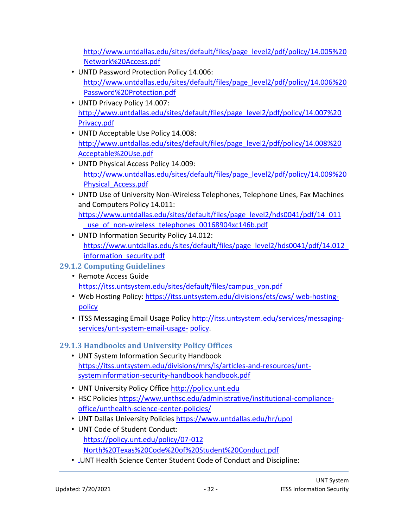[http://www.untdallas.edu/sites/default/files/page\\_level2/pdf/policy/14.005%20](http://www.untdallas.edu/sites/default/files/page_level2/pdf/policy/14.005%20Network%20Access.pdf) [Network%20Access.pdf](http://www.untdallas.edu/sites/default/files/page_level2/pdf/policy/14.005%20Network%20Access.pdf)

- UNTD Password Protection Policy 14.006: [http://www.untdallas.edu/sites/default/files/page\\_level2/pdf/policy/14.006%20](http://www.untdallas.edu/sites/default/files/page_level2/pdf/policy/14.006%20Password%20Protection.pdf) [Password%20Protection.pdf](http://www.untdallas.edu/sites/default/files/page_level2/pdf/policy/14.006%20Password%20Protection.pdf)
- UNTD Privacy Policy 14.007: [http://www.untdallas.edu/sites/default/files/page\\_level2/pdf/policy/14.007%20](http://www.untdallas.edu/sites/default/files/page_level2/pdf/policy/14.007%20Privacy.pdf) [Privacy.pdf](http://www.untdallas.edu/sites/default/files/page_level2/pdf/policy/14.007%20Privacy.pdf)
- UNTD Acceptable Use Policy 14.008: [http://www.untdallas.edu/sites/default/files/page\\_level2/pdf/policy/14.008%20](http://www.untdallas.edu/sites/default/files/page_level2/pdf/policy/14.008%20Acceptable%20Use.pdf) [Acceptable%20Use.pdf](http://www.untdallas.edu/sites/default/files/page_level2/pdf/policy/14.008%20Acceptable%20Use.pdf)
- UNTD Physical Access Policy 14.009: [http://www.untdallas.edu/sites/default/files/page\\_level2/pdf/policy/14.009%20](http://www.untdallas.edu/sites/default/files/page_level2/pdf/policy/14.009%20Physical_Access.pdf) [Physical\\_Access.pdf](http://www.untdallas.edu/sites/default/files/page_level2/pdf/policy/14.009%20Physical_Access.pdf)
- UNTD Use of University Non-Wireless Telephones, Telephone Lines, Fax Machines and Computers Policy 14.011: [https://www.untdallas.edu/sites/default/files/page\\_level2/hds0041/pdf/14\\_011](https://www.untdallas.edu/sites/default/files/page_level2/hds0041/pdf/14_011_use_of_non-wireless_telephones_00168904xc146b.pdf) use of non-wireless telephones 00168904xc146b.pdf
- UNTD Information Security Policy 14.012: https://www.untdallas.edu/sites/default/files/page\_level2/hds0041/pdf/14.012\_ information security.pdf

#### <span id="page-31-0"></span>**29.1.2 Computing Guidelines**

- Remote Access Guide [https://itss.untsystem.edu/sites/default/files/campus\\_vpn.pdf](https://itss.untsystem.edu/sites/default/files/campus_vpn.pdf)
- Web Hosting Policy: [https://itss.untsystem.edu/divisions/ets/cws/ web-hosting](https://itss.untsystem.edu/divisions/ets/cws/web-hosting-policy)[policy](https://itss.untsystem.edu/divisions/ets/cws/web-hosting-policy)
- ITSS Messaging Email Usage Policy [http://itss.untsystem.edu/services/messaging](http://itss.untsystem.edu/services/messaging-services/unt-system-email-usage-policy)[services/unt-system-email-usage-](http://itss.untsystem.edu/services/messaging-services/unt-system-email-usage-policy) [policy.](http://itss.untsystem.edu/services/messaging-services/unt-system-email-usage-policy)

# <span id="page-31-1"></span>**29.1.3 Handbooks and University Policy Offices**

- UNT System Information Security Handbook [https://itss.untsystem.edu/divisions/mrs/is/articles-and-resources/unt](https://itss.untsystem.edu/divisions/mrs/is/articles-and-resources/unt-system-information-security-handbook)[systeminformation-security-handboo](https://itss.untsystem.edu/divisions/mrs/is/articles-and-resources/unt-system-information-security-handbook)[k handbook.pdf](https://itss.untsystem.edu/sites/default/files/unt_system_infomation_security_handbook.pdf)
- UNT University Policy Office [http://policy.unt.edu](http://policy.unt.edu/)
- HSC Policie[s https://www.unthsc.edu/administrative/institutional-compliance](https://www.unthsc.edu/administrative/institutional-compliance-office/unt-health-science-center-policies/)[office/unthealth-science-center-policies/](https://www.unthsc.edu/administrative/institutional-compliance-office/unt-health-science-center-policies/)
- UNT Dallas University Policies<https://www.untdallas.edu/hr/upol>
- UNT Code of Student Conduct: <https://policy.unt.edu/policy/07-012> [North%20Texas%20Code%20of%20Student%20Conduct.pdf](http://policy.unt.edu/sites/default/files/untpolicy/18.1.11_University%20of%20North%20Texas%20Code%20of%20Student%20Conduct.pdf)
- UNT Health Science Center Student Code of Conduct and Discipline: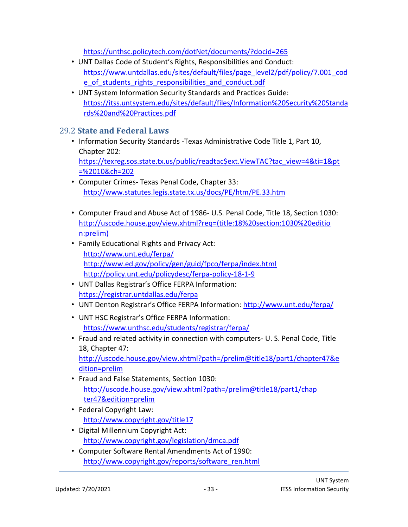<https://unthsc.policytech.com/dotNet/documents/?docid=265>

- UNT Dallas Code of Student's Rights, Responsibilities and Conduct: https://www.untdallas.edu/sites/default/files/page\_level2/pdf/policy/7.001\_cod [e\\_of\\_students\\_rights\\_responsibilities\\_and\\_conduct.pd](https://www.untdallas.edu/sites/default/files/page_level2/pdf/policy/7.001_code_of_students_rights_responsibilities_and_conduct.pdf)[f](http://www.untdallas.edu/sites/default/files/page_level2/pdf/policy/7.001%20Code%20of%20Student%20Rights%20Responsibilities%20and%20Conduct.pdf)
- UNT System Information Security Standards and Practices Guide: [https://itss.untsystem.edu/sites/default/files/Information%20Security%20Standa](https://itss.untsystem.edu/sites/default/files/Information%20Security%20Standards%20and%20Practices.pdf)  [rds%20and%20Practices.pdf](https://itss.untsystem.edu/sites/default/files/Information%20Security%20Standards%20and%20Practices.pdf)

#### <span id="page-32-0"></span>29.2 **State and Federal Laws**

- Information Security Standards -Texas Administrative Code Title 1, Part 10, Chapter 202: [https://texreg.sos.state.tx.us/public/readtac\\$ext.ViewTAC?tac\\_view=4&ti=1&pt](https://texreg.sos.state.tx.us/public/readtac$ext.ViewTAC?tac_view=4&ti=1&pt=%2010&ch=202)  [=%2010&ch=202](https://texreg.sos.state.tx.us/public/readtac$ext.ViewTAC?tac_view=4&ti=1&pt=%2010&ch=202)
- Computer Crimes- Texas Penal Code, Chapter 33: <http://www.statutes.legis.state.tx.us/docs/PE/htm/PE.33.htm>
- Computer Fraud and Abuse Act of 1986- U.S. Penal Code, Title 18, Section 1030: [http://uscode.house.gov/view.xhtml?req=\(title:18%20section:1030%20editio](http://uscode.house.gov/view.xhtml?req=(title:18%20section:1030%20edition:prelim))  [n:prelim](http://uscode.house.gov/view.xhtml?req=(title:18%20section:1030%20edition:prelim))[\)](http://uscode.house.gov/view.xhtml?req=granuleid%3AUSC-prelim-title18-section1030&num=0&edition=prelim)
- Family Educational Rights and Privacy Act: <http://www.unt.edu/ferpa/> <http://www.ed.gov/policy/gen/guid/fpco/ferpa/index.html> <http://policy.unt.edu/policydesc/ferpa-policy-18-1-9>
- UNT [Dallas Registrar's Office F](http://www.untdallas.edu/admissions-aid/financial-aid-scholarships/student-financial-aid-scholarships/policies-consumer-information/family-educational-ri)ERPA Information: https://registrar.untdallas.edu/ferpa
- UNT Denton Registrar's Office FERPA Information: <http://www.unt.edu/ferpa/>
- UNT HSC Registrar's Office FERPA Information: <https://www.unthsc.edu/students/registrar/ferpa/>
- Fraud and related activity in connection with computers- U. S. Penal Code, Title 18, Chapter 47: [http://uscode.house.gov/view.xhtml?path=/prelim@title18/part1/chapter47&e](http://uscode.house.gov/view.xhtml?path=/prelim@title18/part1/chapter47&edition=prelim)  [dition=prelim](http://uscode.house.gov/view.xhtml?path=/prelim@title18/part1/chapter47&edition=prelim)
- Fraud and False Statements, Section 1030: [http://uscode.house.gov/view.xhtml?path=/prelim@title18/part1/chap](http://uscode.house.gov/view.xhtml?path=/prelim@title18/part1/chapter47&edition=prelim)  [ter47&edition=prelim](http://uscode.house.gov/view.xhtml?path=/prelim@title18/part1/chapter47&edition=prelim)
- Federal Copyright Law: <http://www.copyright.gov/title17>
- Digital Millennium Copyright Act: <http://www.copyright.gov/legislation/dmca.pdf>
- Computer Software Rental Amendments Act of 1990: [http://www.copyright.gov/reports/software\\_ren.html](http://www.copyright.gov/reports/software_ren.html)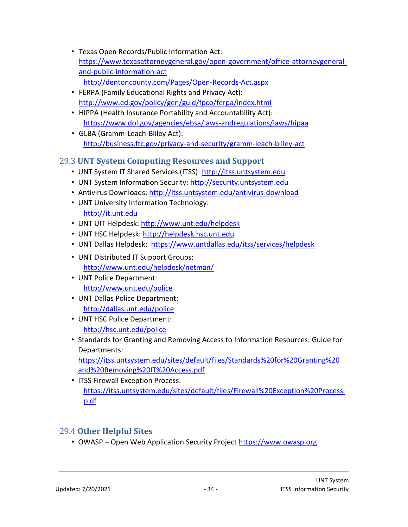- Texas Open Records/Public Information Act: [https://www.texasattorneygeneral.gov/open-government/office-attorneygeneral](https://www.texasattorneygeneral.gov/open-government/office-attorney-general-and-public-information-act)[and-public-information-ac](https://www.texasattorneygeneral.gov/open-government/office-attorney-general-and-public-information-act)[t](http://dentoncounty.com/Pages/Open-Records-Act.aspx)
	- <http://dentoncounty.com/Pages/Open-Records-Act.aspx>
- FERPA (Family Educational Rights and Privacy Act): <http://www.ed.gov/policy/gen/guid/fpco/ferpa/index.html>
- HIPPA (Health Insurance Portability and Accountability Act): [https://www.dol.gov/agencies/ebsa/laws-andregulations/laws/hipaa](https://www.dol.gov/agencies/ebsa/laws-and-regulations/laws/hipaa)
- GLBA (Gramm-Leach-Bliley Act): <http://business.ftc.gov/privacy-and-security/gramm-leach-bliley-act>

### <span id="page-33-0"></span>29.3 **UNT System Computing Resources and Support**

- UNT System IT Shared Services (ITSS): [http://itss.untsystem.edu](http://itss.untsystem.edu/)
- UNT System Information Security: [http://security.untsystem.edu](http://security.untsystem.edu/)
- Antivirus Downloads:<http://itss.untsystem.edu/antivirus-download>
- UNT University Information Technology: [http://it.unt.edu](http://it.unt.edu/)
- UNT UIT Helpdesk:<http://www.unt.edu/helpdesk>
- UNT HSC Helpdesk: [http://helpdesk.hsc.unt.edu](http://helpdesk.hsc.unt.edu/)
- UNT Dallas Helpdesk:<https://www.untdallas.edu/itss/services/helpdesk>
- UNT Distributed IT Support Groups: <http://www.unt.edu/helpdesk/netman/>
- UNT Police Department: <http://www.unt.edu/police>
- UNT Dallas Police Department: <http://dallas.unt.edu/police>
- UNT HSC Police Department:
	- <http://hsc.unt.edu/police>
- Standards for Granting and Removing Access to Information Resources: Guide for Departments:

[https://itss.untsystem.edu/sites/default/files/Standards%20for%20Granting%20](https://itss.untsystem.edu/sites/default/files/Standards%20for%20Granting%20and%20Removing%20IT%20Access.pdf)  [and%20Removing%20IT%20Access.pdf](https://itss.untsystem.edu/sites/default/files/Standards%20for%20Granting%20and%20Removing%20IT%20Access.pdf)

• ITSS Firewall Exception Process: [https://itss.untsystem.edu/sites/default/files/Firewall%20Exception%20Process.](https://itss.untsystem.edu/sites/default/files/Firewall%20Exception%20Process.pdf) [p df](https://itss.untsystem.edu/sites/default/files/Firewall%20Exception%20Process.pdf)

#### <span id="page-33-1"></span>29.4 **Other Helpful Sites**

• OWASP – Open Web Application Security Project [https://www.owasp.org](https://www.owasp.org/)